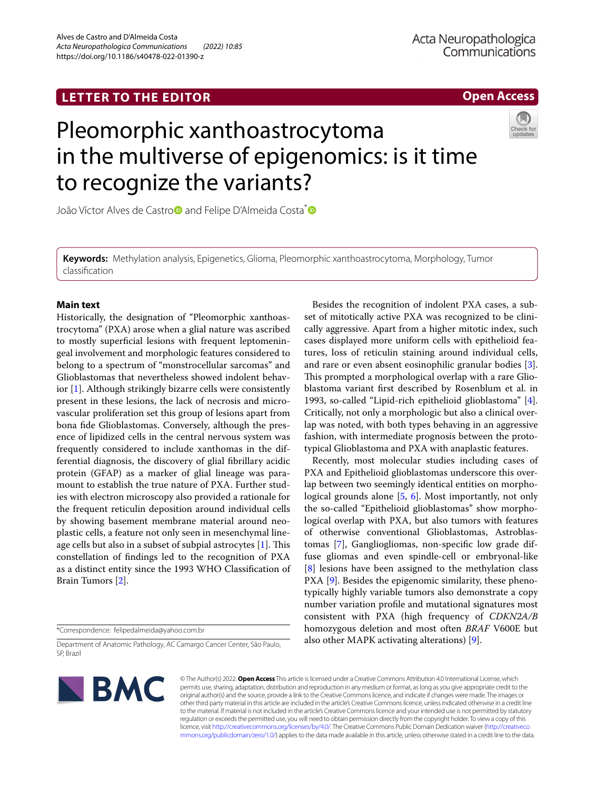### **LETTER TO THE EDITOR**

**Open Access**

# Pleomorphic xanthoastrocytoma in the multiverse of epigenomics: is it time to recognize the variants?



Joã[o](http://orcid.org/0000-0002-1279-3672) Víctor Alves de Castro and Felipe D'Almeida Costa<sup>\*</sup>

**Keywords:** Methylation analysis, Epigenetics, Glioma, Pleomorphic xanthoastrocytoma, Morphology, Tumor classifcation

#### **Main text**

Historically, the designation of "Pleomorphic xanthoastrocytoma" (PXA) arose when a glial nature was ascribed to mostly superfcial lesions with frequent leptomeningeal involvement and morphologic features considered to belong to a spectrum of "monstrocellular sarcomas" and Glioblastomas that nevertheless showed indolent behavior [[1\]](#page-2-0). Although strikingly bizarre cells were consistently present in these lesions, the lack of necrosis and microvascular proliferation set this group of lesions apart from bona fde Glioblastomas. Conversely, although the presence of lipidized cells in the central nervous system was frequently considered to include xanthomas in the differential diagnosis, the discovery of glial fbrillary acidic protein (GFAP) as a marker of glial lineage was paramount to establish the true nature of PXA. Further studies with electron microscopy also provided a rationale for the frequent reticulin deposition around individual cells by showing basement membrane material around neoplastic cells, a feature not only seen in mesenchymal lineage cells but also in a subset of subpial astrocytes  $[1]$  $[1]$  $[1]$ . This constellation of fndings led to the recognition of PXA as a distinct entity since the 1993 WHO Classifcation of Brain Tumors [\[2](#page-2-1)].

\*Correspondence: felipedalmeida@yahoo.com.br

Department of Anatomic Pathology, AC Camargo Cancer Center, São Paulo, SP, Brazil



© The Author(s) 2022. **Open Access** This article is licensed under a Creative Commons Attribution 4.0 International License, which permits use, sharing, adaptation, distribution and reproduction in any medium or format, as long as you give appropriate credit to the original author(s) and the source, provide a link to the Creative Commons licence, and indicate if changes were made. The images or other third party material in this article are included in the article's Creative Commons licence, unless indicated otherwise in a credit line to the material. If material is not included in the article's Creative Commons licence and your intended use is not permitted by statutory regulation or exceeds the permitted use, you will need to obtain permission directly from the copyright holder. To view a copy of this licence, visit [http://creativecommons.org/licenses/by/4.0/.](http://creativecommons.org/licenses/by/4.0/) The Creative Commons Public Domain Dedication waiver ([http://creativeco](http://creativecommons.org/publicdomain/zero/1.0/) [mmons.org/publicdomain/zero/1.0/](http://creativecommons.org/publicdomain/zero/1.0/)) applies to the data made available in this article, unless otherwise stated in a credit line to the data.

Besides the recognition of indolent PXA cases, a subset of mitotically active PXA was recognized to be clinically aggressive. Apart from a higher mitotic index, such cases displayed more uniform cells with epithelioid features, loss of reticulin staining around individual cells, and rare or even absent eosinophilic granular bodies [\[3](#page-2-2)]. This prompted a morphological overlap with a rare Glioblastoma variant frst described by Rosenblum et al. in 1993, so-called "Lipid-rich epithelioid glioblastoma" [\[4](#page-2-3)]. Critically, not only a morphologic but also a clinical overlap was noted, with both types behaving in an aggressive fashion, with intermediate prognosis between the prototypical Glioblastoma and PXA with anaplastic features.

Recently, most molecular studies including cases of PXA and Epithelioid glioblastomas underscore this overlap between two seemingly identical entities on morphological grounds alone [[5,](#page-2-4) [6](#page-2-5)]. Most importantly, not only the so-called "Epithelioid glioblastomas'' show morphological overlap with PXA, but also tumors with features of otherwise conventional Glioblastomas, Astroblastomas [\[7](#page-2-6)], Gangliogliomas, non-specifc low grade diffuse gliomas and even spindle-cell or embryonal-like [[8\]](#page-2-7) lesions have been assigned to the methylation class PXA [[9\]](#page-2-8). Besides the epigenomic similarity, these phenotypically highly variable tumors also demonstrate a copy number variation profle and mutational signatures most consistent with PXA (high frequency of *CDKN2A/B* homozygous deletion and most often *BRAF* V600E but also other MAPK activating alterations) [\[9](#page-2-8)].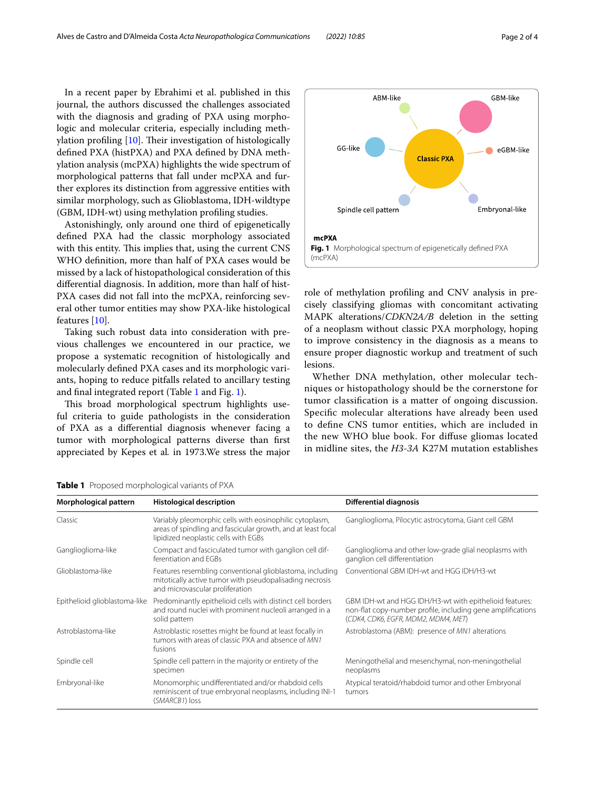In a recent paper by Ebrahimi et al. published in this journal, the authors discussed the challenges associated with the diagnosis and grading of PXA using morphologic and molecular criteria, especially including meth-ylation profiling [\[10](#page-3-0)]. Their investigation of histologically defned PXA (histPXA) and PXA defned by DNA methylation analysis (mcPXA) highlights the wide spectrum of morphological patterns that fall under mcPXA and further explores its distinction from aggressive entities with similar morphology, such as Glioblastoma, IDH-wildtype (GBM, IDH-wt) using methylation profling studies.

Astonishingly, only around one third of epigenetically defned PXA had the classic morphology associated with this entity. This implies that, using the current CNS WHO defnition, more than half of PXA cases would be missed by a lack of histopathological consideration of this diferential diagnosis. In addition, more than half of hist-PXA cases did not fall into the mcPXA, reinforcing several other tumor entities may show PXA-like histological features [[10](#page-3-0)].

Taking such robust data into consideration with previous challenges we encountered in our practice, we propose a systematic recognition of histologically and molecularly defned PXA cases and its morphologic variants, hoping to reduce pitfalls related to ancillary testing and fnal integrated report (Table [1](#page-1-0) and Fig. [1](#page-1-1)).

This broad morphological spectrum highlights useful criteria to guide pathologists in the consideration of PXA as a diferential diagnosis whenever facing a tumor with morphological patterns diverse than frst appreciated by Kepes et al*.* in 1973.We stress the major



<span id="page-1-1"></span>role of methylation profling and CNV analysis in precisely classifying gliomas with concomitant activating MAPK alterations/*CDKN2A/B* deletion in the setting of a neoplasm without classic PXA morphology, hoping to improve consistency in the diagnosis as a means to ensure proper diagnostic workup and treatment of such lesions.

Whether DNA methylation, other molecular techniques or histopathology should be the cornerstone for tumor classifcation is a matter of ongoing discussion. Specifc molecular alterations have already been used to defne CNS tumor entities, which are included in the new WHO blue book. For difuse gliomas located in midline sites, the *H3-3A* K27M mutation establishes

<span id="page-1-0"></span>

|  | Table 1 Proposed morphological variants of PXA |  |  |  |  |
|--|------------------------------------------------|--|--|--|--|
|--|------------------------------------------------|--|--|--|--|

| Morphological pattern         | <b>Histological description</b>                                                                                                                                 | <b>Differential diagnosis</b>                                                                                                                                 |  |
|-------------------------------|-----------------------------------------------------------------------------------------------------------------------------------------------------------------|---------------------------------------------------------------------------------------------------------------------------------------------------------------|--|
| Classic                       | Variably pleomorphic cells with eosinophilic cytoplasm,<br>areas of spindling and fascicular growth, and at least focal<br>lipidized neoplastic cells with EGBs | Ganglioglioma, Pilocytic astrocytoma, Giant cell GBM                                                                                                          |  |
| Ganglioglioma-like            | Compact and fasciculated tumor with ganglion cell dif-<br>ferentiation and FGBs                                                                                 | Ganglioglioma and other low-grade glial neoplasms with<br>ganglion cell differentiation                                                                       |  |
| Glioblastoma-like             | Features resembling conventional glioblastoma, including<br>mitotically active tumor with pseudopalisading necrosis<br>and microvascular proliferation          | Conventional GBM IDH-wt and HGG IDH/H3-wt                                                                                                                     |  |
| Epithelioid glioblastoma-like | Predominantly epithelioid cells with distinct cell borders<br>and round nuclei with prominent nucleoli arranged in a<br>solid pattern                           | GBM IDH-wt and HGG IDH/H3-wt with epithelioid features:<br>non-flat copy-number profile, including gene amplifications<br>(CDK4, CDK6, EGFR, MDM2, MDM4, MET) |  |
| Astroblastoma-like            | Astroblastic rosettes might be found at least focally in<br>tumors with areas of classic PXA and absence of MN1<br>fusions                                      | Astroblastoma (ABM): presence of MN1 alterations                                                                                                              |  |
| Spindle cell                  | Spindle cell pattern in the majority or entirety of the<br>specimen                                                                                             | Meningothelial and mesenchymal, non-meningothelial<br>neoplasms                                                                                               |  |
| Embryonal-like                | Monomorphic undifferentiated and/or rhabdoid cells<br>reminiscent of true embryonal neoplasms, including INI-1<br>(SMARCB1) loss                                | Atypical teratoid/rhabdoid tumor and other Embryonal<br>tumors                                                                                                |  |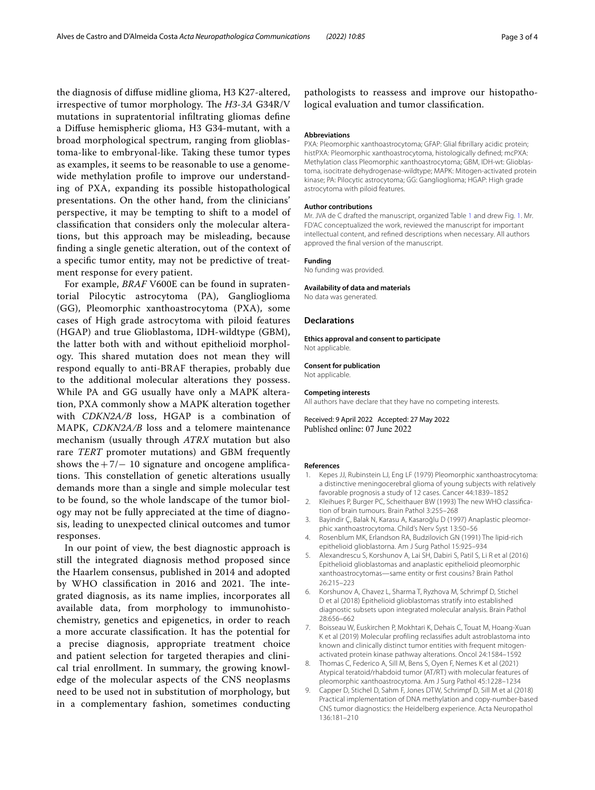the diagnosis of difuse midline glioma, H3 K27-altered, irrespective of tumor morphology. The *H3-3A* G34R/V mutations in supratentorial infltrating gliomas defne a Difuse hemispheric glioma, H3 G34-mutant, with a broad morphological spectrum, ranging from glioblastoma-like to embryonal-like. Taking these tumor types as examples, it seems to be reasonable to use a genomewide methylation profle to improve our understanding of PXA, expanding its possible histopathological presentations. On the other hand, from the clinicians' perspective, it may be tempting to shift to a model of classifcation that considers only the molecular alterations, but this approach may be misleading, because fnding a single genetic alteration, out of the context of a specifc tumor entity, may not be predictive of treatment response for every patient.

For example, *BRAF* V600E can be found in supratentorial Pilocytic astrocytoma (PA), Ganglioglioma (GG), Pleomorphic xanthoastrocytoma (PXA), some cases of High grade astrocytoma with piloid features (HGAP) and true Glioblastoma, IDH-wildtype (GBM), the latter both with and without epithelioid morphology. This shared mutation does not mean they will respond equally to anti-BRAF therapies, probably due to the additional molecular alterations they possess. While PA and GG usually have only a MAPK alteration, PXA commonly show a MAPK alteration together with *CDKN2A/B* loss, HGAP is a combination of MAPK, *CDKN2A/B* loss and a telomere maintenance mechanism (usually through *ATRX* mutation but also rare *TERT* promoter mutations) and GBM frequently shows the  $+7/$  - 10 signature and oncogene amplifications. This constellation of genetic alterations usually demands more than a single and simple molecular test to be found, so the whole landscape of the tumor biology may not be fully appreciated at the time of diagnosis, leading to unexpected clinical outcomes and tumor responses.

In our point of view, the best diagnostic approach is still the integrated diagnosis method proposed since the Haarlem consensus, published in 2014 and adopted by WHO classification in 2016 and 2021. The integrated diagnosis, as its name implies, incorporates all available data, from morphology to immunohistochemistry, genetics and epigenetics, in order to reach a more accurate classifcation. It has the potential for a precise diagnosis, appropriate treatment choice and patient selection for targeted therapies and clinical trial enrollment. In summary, the growing knowledge of the molecular aspects of the CNS neoplasms need to be used not in substitution of morphology, but in a complementary fashion, sometimes conducting

pathologists to reassess and improve our histopathological evaluation and tumor classifcation.

#### **Abbreviations**

PXA: Pleomorphic xanthoastrocytoma; GFAP: Glial fibrillary acidic protein; histPXA: Pleomorphic xanthoastrocytoma, histologically defned; mcPXA: Methylation class Pleomorphic xanthoastrocytoma; GBM, IDH-wt: Glioblastoma, isocitrate dehydrogenase-wildtype; MAPK: Mitogen-activated protein kinase; PA: Pilocytic astrocytoma; GG: Ganglioglioma; HGAP: High grade astrocytoma with piloid features.

#### **Author contributions**

Mr. JVA de C drafted the manuscript, organized Table [1](#page-1-0) and drew Fig. [1](#page-1-1). Mr. FD'AC conceptualized the work, reviewed the manuscript for important intellectual content, and refned descriptions when necessary. All authors approved the fnal version of the manuscript.

#### **Funding**

No funding was provided.

#### **Availability of data and materials**

No data was generated.

#### **Declarations**

**Ethics approval and consent to participate** Not applicable.

#### **Consent for publication** Not applicable.

#### **Competing interests**

All authors have declare that they have no competing interests.

Received: 9 April 2022 Accepted: 27 May 2022 Published online: 07 June 2022

#### **References**

- <span id="page-2-0"></span>1. Kepes JJ, Rubinstein LJ, Eng LF (1979) Pleomorphic xanthoastrocytoma: a distinctive meningocerebral glioma of young subjects with relatively favorable prognosis a study of 12 cases. Cancer 44:1839–1852
- <span id="page-2-1"></span>2. Kleihues P, Burger PC, Scheithauer BW (1993) The new WHO classifcation of brain tumours. Brain Pathol 3:255–268
- <span id="page-2-2"></span>3. Bayindir Ç, Balak N, Karasu A, Kasaroğlu D (1997) Anaplastic pleomorphic xanthoastrocytoma. Child's Nerv Syst 13:50–56
- <span id="page-2-3"></span>4. Rosenblum MK, Erlandson RA, Budzilovich GN (1991) The lipid-rich epithelioid glioblastorna. Am J Surg Pathol 15:925–934
- <span id="page-2-4"></span>5. Alexandrescu S, Korshunov A, Lai SH, Dabiri S, Patil S, Li R et al (2016) Epithelioid glioblastomas and anaplastic epithelioid pleomorphic xanthoastrocytomas—same entity or frst cousins? Brain Pathol 26:215–223
- <span id="page-2-5"></span>6. Korshunov A, Chavez L, Sharma T, Ryzhova M, Schrimpf D, Stichel D et al (2018) Epithelioid glioblastomas stratify into established diagnostic subsets upon integrated molecular analysis. Brain Pathol 28:656–662
- <span id="page-2-6"></span>7. Boisseau W, Euskirchen P, Mokhtari K, Dehais C, Touat M, Hoang-Xuan K et al (2019) Molecular profling reclassifes adult astroblastoma into known and clinically distinct tumor entities with frequent mitogenactivated protein kinase pathway alterations. Oncol 24:1584–1592
- <span id="page-2-7"></span>8. Thomas C, Federico A, Sill M, Bens S, Oyen F, Nemes K et al (2021) Atypical teratoid/rhabdoid tumor (AT/RT) with molecular features of pleomorphic xanthoastrocytoma. Am J Surg Pathol 45:1228–1234
- <span id="page-2-8"></span>9. Capper D, Stichel D, Sahm F, Jones DTW, Schrimpf D, Sill M et al (2018) Practical implementation of DNA methylation and copy-number-based CNS tumor diagnostics: the Heidelberg experience. Acta Neuropathol 136:181–210